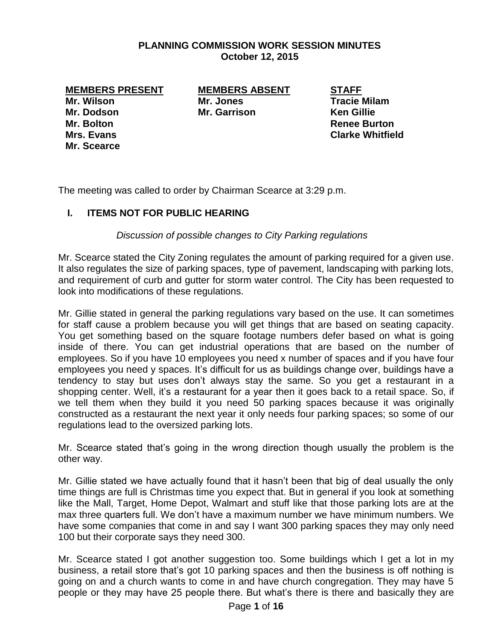## **PLANNING COMMISSION WORK SESSION MINUTES October 12, 2015**

**MEMBERS PRESENT MEMBERS ABSENT STAFF Mr. Wilson Mr. Jones Tracie Milam Mr. Dodson Mr. Garrison Ken Gillie**

**Mr. Scearce**

**Mr. Bolton Renee Burton Mrs. Evans Clarke Whitfield**

The meeting was called to order by Chairman Scearce at 3:29 p.m.

## **I. ITEMS NOT FOR PUBLIC HEARING**

## *Discussion of possible changes to City Parking regulations*

Mr. Scearce stated the City Zoning regulates the amount of parking required for a given use. It also regulates the size of parking spaces, type of pavement, landscaping with parking lots, and requirement of curb and gutter for storm water control. The City has been requested to look into modifications of these regulations.

Mr. Gillie stated in general the parking regulations vary based on the use. It can sometimes for staff cause a problem because you will get things that are based on seating capacity. You get something based on the square footage numbers defer based on what is going inside of there. You can get industrial operations that are based on the number of employees. So if you have 10 employees you need x number of spaces and if you have four emplovees you need y spaces. It's difficult for us as buildings change over, buildings have a tendency to stay but uses don't always stay the same. So you get a restaurant in a shopping center. Well, it's a restaurant for a year then it goes back to a retail space. So, if we tell them when they build it you need 50 parking spaces because it was originally constructed as a restaurant the next year it only needs four parking spaces; so some of our regulations lead to the oversized parking lots.

Mr. Scearce stated that's going in the wrong direction though usually the problem is the other way.

Mr. Gillie stated we have actually found that it hasn't been that big of deal usually the only time things are full is Christmas time you expect that. But in general if you look at something like the Mall, Target, Home Depot, Walmart and stuff like that those parking lots are at the max three quarters full. We don't have a maximum number we have minimum numbers. We have some companies that come in and say I want 300 parking spaces they may only need 100 but their corporate says they need 300.

Mr. Scearce stated I got another suggestion too. Some buildings which I get a lot in my business, a retail store that's got 10 parking spaces and then the business is off nothing is going on and a church wants to come in and have church congregation. They may have 5 people or they may have 25 people there. But what's there is there and basically they are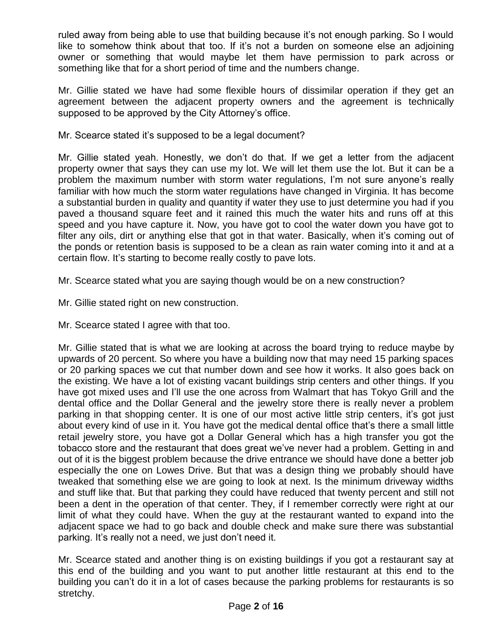ruled away from being able to use that building because it's not enough parking. So I would like to somehow think about that too. If it's not a burden on someone else an adjoining owner or something that would maybe let them have permission to park across or something like that for a short period of time and the numbers change.

Mr. Gillie stated we have had some flexible hours of dissimilar operation if they get an agreement between the adjacent property owners and the agreement is technically supposed to be approved by the City Attorney's office.

Mr. Scearce stated it's supposed to be a legal document?

Mr. Gillie stated yeah. Honestly, we don't do that. If we get a letter from the adjacent property owner that says they can use my lot. We will let them use the lot. But it can be a problem the maximum number with storm water regulations, I'm not sure anyone's really familiar with how much the storm water regulations have changed in Virginia. It has become a substantial burden in quality and quantity if water they use to just determine you had if you paved a thousand square feet and it rained this much the water hits and runs off at this speed and you have capture it. Now, you have got to cool the water down you have got to filter any oils, dirt or anything else that got in that water. Basically, when it's coming out of the ponds or retention basis is supposed to be a clean as rain water coming into it and at a certain flow. It's starting to become really costly to pave lots.

Mr. Scearce stated what you are saying though would be on a new construction?

Mr. Gillie stated right on new construction.

Mr. Scearce stated I agree with that too.

Mr. Gillie stated that is what we are looking at across the board trying to reduce maybe by upwards of 20 percent. So where you have a building now that may need 15 parking spaces or 20 parking spaces we cut that number down and see how it works. It also goes back on the existing. We have a lot of existing vacant buildings strip centers and other things. If you have got mixed uses and I'll use the one across from Walmart that has Tokyo Grill and the dental office and the Dollar General and the jewelry store there is really never a problem parking in that shopping center. It is one of our most active little strip centers, it's got just about every kind of use in it. You have got the medical dental office that's there a small little retail jewelry store, you have got a Dollar General which has a high transfer you got the tobacco store and the restaurant that does great we've never had a problem. Getting in and out of it is the biggest problem because the drive entrance we should have done a better job especially the one on Lowes Drive. But that was a design thing we probably should have tweaked that something else we are going to look at next. Is the minimum driveway widths and stuff like that. But that parking they could have reduced that twenty percent and still not been a dent in the operation of that center. They, if I remember correctly were right at our limit of what they could have. When the guy at the restaurant wanted to expand into the adjacent space we had to go back and double check and make sure there was substantial parking. It's really not a need, we just don't need it.

Mr. Scearce stated and another thing is on existing buildings if you got a restaurant say at this end of the building and you want to put another little restaurant at this end to the building you can't do it in a lot of cases because the parking problems for restaurants is so stretchy.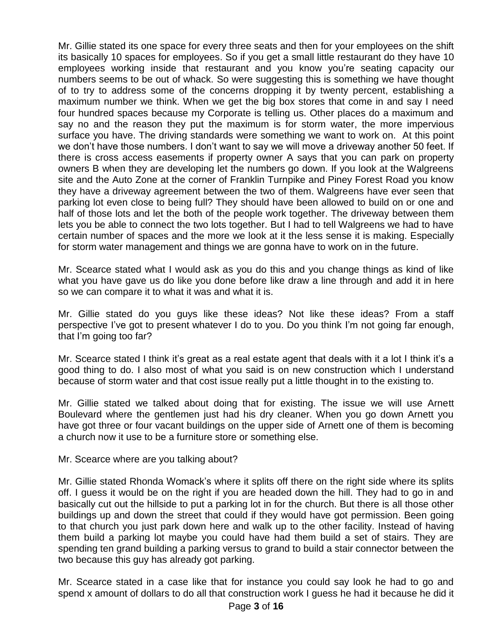Mr. Gillie stated its one space for every three seats and then for your employees on the shift its basically 10 spaces for employees. So if you get a small little restaurant do they have 10 employees working inside that restaurant and you know you're seating capacity our numbers seems to be out of whack. So were suggesting this is something we have thought of to try to address some of the concerns dropping it by twenty percent, establishing a maximum number we think. When we get the big box stores that come in and say I need four hundred spaces because my Corporate is telling us. Other places do a maximum and say no and the reason they put the maximum is for storm water, the more impervious surface you have. The driving standards were something we want to work on. At this point we don't have those numbers. I don't want to say we will move a driveway another 50 feet. If there is cross access easements if property owner A says that you can park on property owners B when they are developing let the numbers go down. If you look at the Walgreens site and the Auto Zone at the corner of Franklin Turnpike and Piney Forest Road you know they have a driveway agreement between the two of them. Walgreens have ever seen that parking lot even close to being full? They should have been allowed to build on or one and half of those lots and let the both of the people work together. The driveway between them lets you be able to connect the two lots together. But I had to tell Walgreens we had to have certain number of spaces and the more we look at it the less sense it is making. Especially for storm water management and things we are gonna have to work on in the future.

Mr. Scearce stated what I would ask as you do this and you change things as kind of like what you have gave us do like you done before like draw a line through and add it in here so we can compare it to what it was and what it is.

Mr. Gillie stated do you guys like these ideas? Not like these ideas? From a staff perspective I've got to present whatever I do to you. Do you think I'm not going far enough, that I'm going too far?

Mr. Scearce stated I think it's great as a real estate agent that deals with it a lot I think it's a good thing to do. I also most of what you said is on new construction which I understand because of storm water and that cost issue really put a little thought in to the existing to.

Mr. Gillie stated we talked about doing that for existing. The issue we will use Arnett Boulevard where the gentlemen just had his dry cleaner. When you go down Arnett you have got three or four vacant buildings on the upper side of Arnett one of them is becoming a church now it use to be a furniture store or something else.

Mr. Scearce where are you talking about?

Mr. Gillie stated Rhonda Womack's where it splits off there on the right side where its splits off. I guess it would be on the right if you are headed down the hill. They had to go in and basically cut out the hillside to put a parking lot in for the church. But there is all those other buildings up and down the street that could if they would have got permission. Been going to that church you just park down here and walk up to the other facility. Instead of having them build a parking lot maybe you could have had them build a set of stairs. They are spending ten grand building a parking versus to grand to build a stair connector between the two because this guy has already got parking.

Mr. Scearce stated in a case like that for instance you could say look he had to go and spend x amount of dollars to do all that construction work I guess he had it because he did it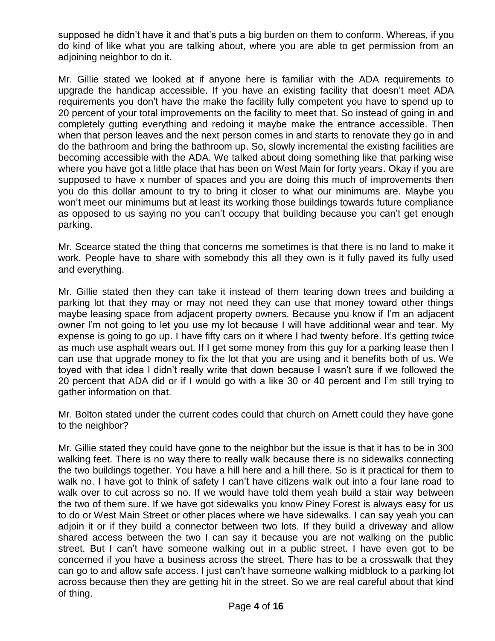supposed he didn't have it and that's puts a big burden on them to conform. Whereas, if you do kind of like what you are talking about, where you are able to get permission from an adjoining neighbor to do it.

Mr. Gillie stated we looked at if anyone here is familiar with the ADA requirements to upgrade the handicap accessible. If you have an existing facility that doesn't meet ADA requirements you don't have the make the facility fully competent you have to spend up to 20 percent of your total improvements on the facility to meet that. So instead of going in and completely gutting everything and redoing it maybe make the entrance accessible. Then when that person leaves and the next person comes in and starts to renovate they go in and do the bathroom and bring the bathroom up. So, slowly incremental the existing facilities are becoming accessible with the ADA. We talked about doing something like that parking wise where you have got a little place that has been on West Main for forty years. Okay if you are supposed to have x number of spaces and you are doing this much of improvements then you do this dollar amount to try to bring it closer to what our minimums are. Maybe you won't meet our minimums but at least its working those buildings towards future compliance as opposed to us saying no you can't occupy that building because you can't get enough parking.

Mr. Scearce stated the thing that concerns me sometimes is that there is no land to make it work. People have to share with somebody this all they own is it fully paved its fully used and everything.

Mr. Gillie stated then they can take it instead of them tearing down trees and building a parking lot that they may or may not need they can use that money toward other things maybe leasing space from adjacent property owners. Because you know if I'm an adjacent owner I'm not going to let you use my lot because I will have additional wear and tear. My expense is going to go up. I have fifty cars on it where I had twenty before. It's getting twice as much use asphalt wears out. If I get some money from this guy for a parking lease then I can use that upgrade money to fix the lot that you are using and it benefits both of us. We toyed with that idea I didn't really write that down because I wasn't sure if we followed the 20 percent that ADA did or if I would go with a like 30 or 40 percent and I'm still trying to gather information on that.

Mr. Bolton stated under the current codes could that church on Arnett could they have gone to the neighbor?

Mr. Gillie stated they could have gone to the neighbor but the issue is that it has to be in 300 walking feet. There is no way there to really walk because there is no sidewalks connecting the two buildings together. You have a hill here and a hill there. So is it practical for them to walk no. I have got to think of safety I can't have citizens walk out into a four lane road to walk over to cut across so no. If we would have told them yeah build a stair way between the two of them sure. If we have got sidewalks you know Piney Forest is always easy for us to do or West Main Street or other places where we have sidewalks. I can say yeah you can adjoin it or if they build a connector between two lots. If they build a driveway and allow shared access between the two I can say it because you are not walking on the public street. But I can't have someone walking out in a public street. I have even got to be concerned if you have a business across the street. There has to be a crosswalk that they can go to and allow safe access. I just can't have someone walking midblock to a parking lot across because then they are getting hit in the street. So we are real careful about that kind of thing.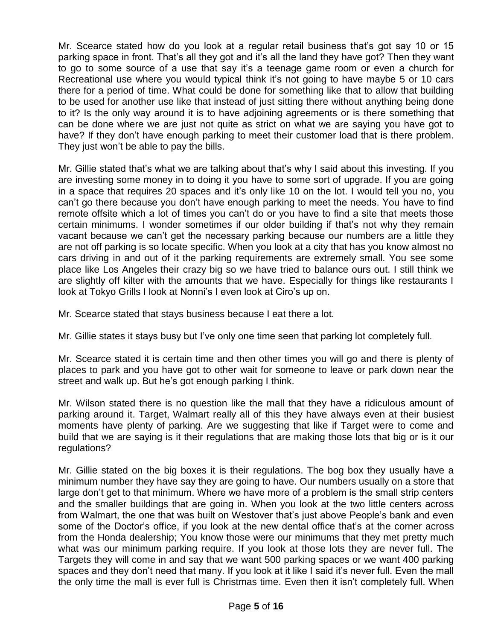Mr. Scearce stated how do you look at a regular retail business that's got say 10 or 15 parking space in front. That's all they got and it's all the land they have got? Then they want to go to some source of a use that say it's a teenage game room or even a church for Recreational use where you would typical think it's not going to have maybe 5 or 10 cars there for a period of time. What could be done for something like that to allow that building to be used for another use like that instead of just sitting there without anything being done to it? Is the only way around it is to have adjoining agreements or is there something that can be done where we are just not quite as strict on what we are saying you have got to have? If they don't have enough parking to meet their customer load that is there problem. They just won't be able to pay the bills.

Mr. Gillie stated that's what we are talking about that's why I said about this investing. If you are investing some money in to doing it you have to some sort of upgrade. If you are going in a space that requires 20 spaces and it's only like 10 on the lot. I would tell you no, you can't go there because you don't have enough parking to meet the needs. You have to find remote offsite which a lot of times you can't do or you have to find a site that meets those certain minimums. I wonder sometimes if our older building if that's not why they remain vacant because we can't get the necessary parking because our numbers are a little they are not off parking is so locate specific. When you look at a city that has you know almost no cars driving in and out of it the parking requirements are extremely small. You see some place like Los Angeles their crazy big so we have tried to balance ours out. I still think we are slightly off kilter with the amounts that we have. Especially for things like restaurants I look at Tokyo Grills I look at Nonni's I even look at Ciro's up on.

Mr. Scearce stated that stays business because I eat there a lot.

Mr. Gillie states it stays busy but I've only one time seen that parking lot completely full.

Mr. Scearce stated it is certain time and then other times you will go and there is plenty of places to park and you have got to other wait for someone to leave or park down near the street and walk up. But he's got enough parking I think.

Mr. Wilson stated there is no question like the mall that they have a ridiculous amount of parking around it. Target, Walmart really all of this they have always even at their busiest moments have plenty of parking. Are we suggesting that like if Target were to come and build that we are saying is it their regulations that are making those lots that big or is it our regulations?

Mr. Gillie stated on the big boxes it is their regulations. The bog box they usually have a minimum number they have say they are going to have. Our numbers usually on a store that large don't get to that minimum. Where we have more of a problem is the small strip centers and the smaller buildings that are going in. When you look at the two little centers across from Walmart, the one that was built on Westover that's just above People's bank and even some of the Doctor's office, if you look at the new dental office that's at the corner across from the Honda dealership; You know those were our minimums that they met pretty much what was our minimum parking require. If you look at those lots they are never full. The Targets they will come in and say that we want 500 parking spaces or we want 400 parking spaces and they don't need that many. If you look at it like I said it's never full. Even the mall the only time the mall is ever full is Christmas time. Even then it isn't completely full. When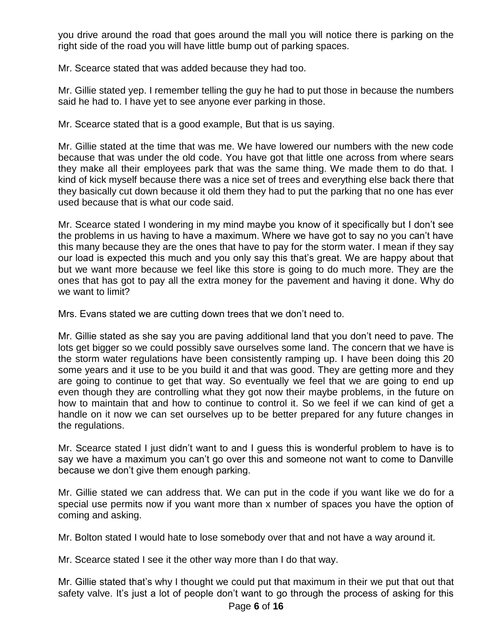you drive around the road that goes around the mall you will notice there is parking on the right side of the road you will have little bump out of parking spaces.

Mr. Scearce stated that was added because they had too.

Mr. Gillie stated yep. I remember telling the guy he had to put those in because the numbers said he had to. I have yet to see anyone ever parking in those.

Mr. Scearce stated that is a good example, But that is us saying.

Mr. Gillie stated at the time that was me. We have lowered our numbers with the new code because that was under the old code. You have got that little one across from where sears they make all their employees park that was the same thing. We made them to do that. I kind of kick myself because there was a nice set of trees and everything else back there that they basically cut down because it old them they had to put the parking that no one has ever used because that is what our code said.

Mr. Scearce stated I wondering in my mind maybe you know of it specifically but I don't see the problems in us having to have a maximum. Where we have got to say no you can't have this many because they are the ones that have to pay for the storm water. I mean if they say our load is expected this much and you only say this that's great. We are happy about that but we want more because we feel like this store is going to do much more. They are the ones that has got to pay all the extra money for the pavement and having it done. Why do we want to limit?

Mrs. Evans stated we are cutting down trees that we don't need to.

Mr. Gillie stated as she say you are paving additional land that you don't need to pave. The lots get bigger so we could possibly save ourselves some land. The concern that we have is the storm water regulations have been consistently ramping up. I have been doing this 20 some years and it use to be you build it and that was good. They are getting more and they are going to continue to get that way. So eventually we feel that we are going to end up even though they are controlling what they got now their maybe problems, in the future on how to maintain that and how to continue to control it. So we feel if we can kind of get a handle on it now we can set ourselves up to be better prepared for any future changes in the regulations.

Mr. Scearce stated I just didn't want to and I guess this is wonderful problem to have is to say we have a maximum you can't go over this and someone not want to come to Danville because we don't give them enough parking.

Mr. Gillie stated we can address that. We can put in the code if you want like we do for a special use permits now if you want more than x number of spaces you have the option of coming and asking.

Mr. Bolton stated I would hate to lose somebody over that and not have a way around it.

Mr. Scearce stated I see it the other way more than I do that way.

Mr. Gillie stated that's why I thought we could put that maximum in their we put that out that safety valve. It's just a lot of people don't want to go through the process of asking for this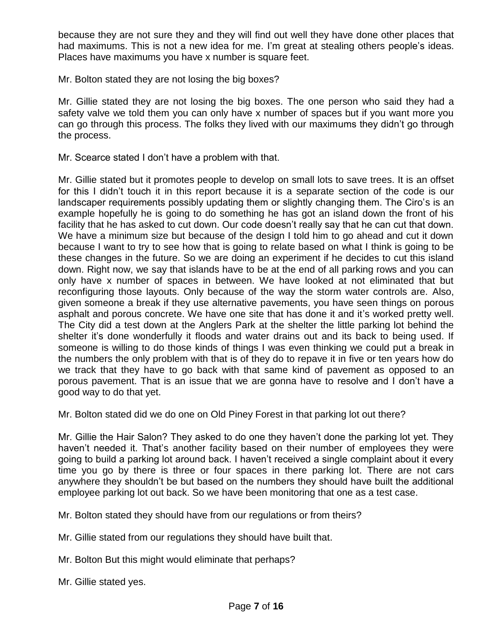because they are not sure they and they will find out well they have done other places that had maximums. This is not a new idea for me. I'm great at stealing others people's ideas. Places have maximums you have x number is square feet.

Mr. Bolton stated they are not losing the big boxes?

Mr. Gillie stated they are not losing the big boxes. The one person who said they had a safety valve we told them you can only have x number of spaces but if you want more you can go through this process. The folks they lived with our maximums they didn't go through the process.

Mr. Scearce stated I don't have a problem with that.

Mr. Gillie stated but it promotes people to develop on small lots to save trees. It is an offset for this I didn't touch it in this report because it is a separate section of the code is our landscaper requirements possibly updating them or slightly changing them. The Ciro's is an example hopefully he is going to do something he has got an island down the front of his facility that he has asked to cut down. Our code doesn't really say that he can cut that down. We have a minimum size but because of the design I told him to go ahead and cut it down because I want to try to see how that is going to relate based on what I think is going to be these changes in the future. So we are doing an experiment if he decides to cut this island down. Right now, we say that islands have to be at the end of all parking rows and you can only have x number of spaces in between. We have looked at not eliminated that but reconfiguring those layouts. Only because of the way the storm water controls are. Also, given someone a break if they use alternative pavements, you have seen things on porous asphalt and porous concrete. We have one site that has done it and it's worked pretty well. The City did a test down at the Anglers Park at the shelter the little parking lot behind the shelter it's done wonderfully it floods and water drains out and its back to being used. If someone is willing to do those kinds of things I was even thinking we could put a break in the numbers the only problem with that is of they do to repave it in five or ten years how do we track that they have to go back with that same kind of pavement as opposed to an porous pavement. That is an issue that we are gonna have to resolve and I don't have a good way to do that yet.

Mr. Bolton stated did we do one on Old Piney Forest in that parking lot out there?

Mr. Gillie the Hair Salon? They asked to do one they haven't done the parking lot yet. They haven't needed it. That's another facility based on their number of employees they were going to build a parking lot around back. I haven't received a single complaint about it every time you go by there is three or four spaces in there parking lot. There are not cars anywhere they shouldn't be but based on the numbers they should have built the additional employee parking lot out back. So we have been monitoring that one as a test case.

Mr. Bolton stated they should have from our regulations or from theirs?

Mr. Gillie stated from our regulations they should have built that.

Mr. Bolton But this might would eliminate that perhaps?

Mr. Gillie stated yes.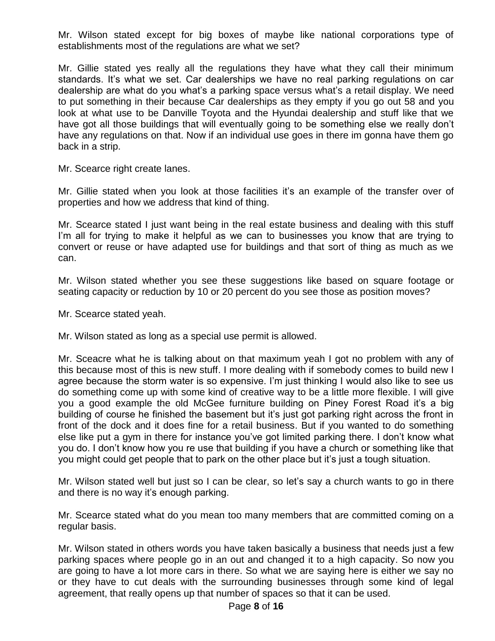Mr. Wilson stated except for big boxes of maybe like national corporations type of establishments most of the regulations are what we set?

Mr. Gillie stated yes really all the regulations they have what they call their minimum standards. It's what we set. Car dealerships we have no real parking regulations on car dealership are what do you what's a parking space versus what's a retail display. We need to put something in their because Car dealerships as they empty if you go out 58 and you look at what use to be Danville Toyota and the Hyundai dealership and stuff like that we have got all those buildings that will eventually going to be something else we really don't have any regulations on that. Now if an individual use goes in there im gonna have them go back in a strip.

Mr. Scearce right create lanes.

Mr. Gillie stated when you look at those facilities it's an example of the transfer over of properties and how we address that kind of thing.

Mr. Scearce stated I just want being in the real estate business and dealing with this stuff I'm all for trying to make it helpful as we can to businesses you know that are trying to convert or reuse or have adapted use for buildings and that sort of thing as much as we can.

Mr. Wilson stated whether you see these suggestions like based on square footage or seating capacity or reduction by 10 or 20 percent do you see those as position moves?

Mr. Scearce stated yeah.

Mr. Wilson stated as long as a special use permit is allowed.

Mr. Sceacre what he is talking about on that maximum yeah I got no problem with any of this because most of this is new stuff. I more dealing with if somebody comes to build new I agree because the storm water is so expensive. I'm just thinking I would also like to see us do something come up with some kind of creative way to be a little more flexible. I will give you a good example the old McGee furniture building on Piney Forest Road it's a big building of course he finished the basement but it's just got parking right across the front in front of the dock and it does fine for a retail business. But if you wanted to do something else like put a gym in there for instance you've got limited parking there. I don't know what you do. I don't know how you re use that building if you have a church or something like that you might could get people that to park on the other place but it's just a tough situation.

Mr. Wilson stated well but just so I can be clear, so let's say a church wants to go in there and there is no way it's enough parking.

Mr. Scearce stated what do you mean too many members that are committed coming on a regular basis.

Mr. Wilson stated in others words you have taken basically a business that needs just a few parking spaces where people go in an out and changed it to a high capacity. So now you are going to have a lot more cars in there. So what we are saying here is either we say no or they have to cut deals with the surrounding businesses through some kind of legal agreement, that really opens up that number of spaces so that it can be used.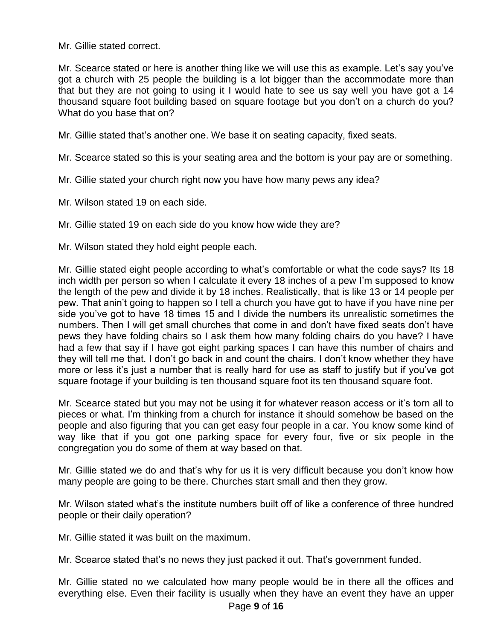Mr. Gillie stated correct.

Mr. Scearce stated or here is another thing like we will use this as example. Let's say you've got a church with 25 people the building is a lot bigger than the accommodate more than that but they are not going to using it I would hate to see us say well you have got a 14 thousand square foot building based on square footage but you don't on a church do you? What do you base that on?

Mr. Gillie stated that's another one. We base it on seating capacity, fixed seats.

Mr. Scearce stated so this is your seating area and the bottom is your pay are or something.

- Mr. Gillie stated your church right now you have how many pews any idea?
- Mr. Wilson stated 19 on each side.
- Mr. Gillie stated 19 on each side do you know how wide they are?
- Mr. Wilson stated they hold eight people each.

Mr. Gillie stated eight people according to what's comfortable or what the code says? Its 18 inch width per person so when I calculate it every 18 inches of a pew I'm supposed to know the length of the pew and divide it by 18 inches. Realistically, that is like 13 or 14 people per pew. That anin't going to happen so I tell a church you have got to have if you have nine per side you've got to have 18 times 15 and I divide the numbers its unrealistic sometimes the numbers. Then I will get small churches that come in and don't have fixed seats don't have pews they have folding chairs so I ask them how many folding chairs do you have? I have had a few that say if I have got eight parking spaces I can have this number of chairs and they will tell me that. I don't go back in and count the chairs. I don't know whether they have more or less it's just a number that is really hard for use as staff to justify but if you've got square footage if your building is ten thousand square foot its ten thousand square foot.

Mr. Scearce stated but you may not be using it for whatever reason access or it's torn all to pieces or what. I'm thinking from a church for instance it should somehow be based on the people and also figuring that you can get easy four people in a car. You know some kind of way like that if you got one parking space for every four, five or six people in the congregation you do some of them at way based on that.

Mr. Gillie stated we do and that's why for us it is very difficult because you don't know how many people are going to be there. Churches start small and then they grow.

Mr. Wilson stated what's the institute numbers built off of like a conference of three hundred people or their daily operation?

Mr. Gillie stated it was built on the maximum.

Mr. Scearce stated that's no news they just packed it out. That's government funded.

Mr. Gillie stated no we calculated how many people would be in there all the offices and everything else. Even their facility is usually when they have an event they have an upper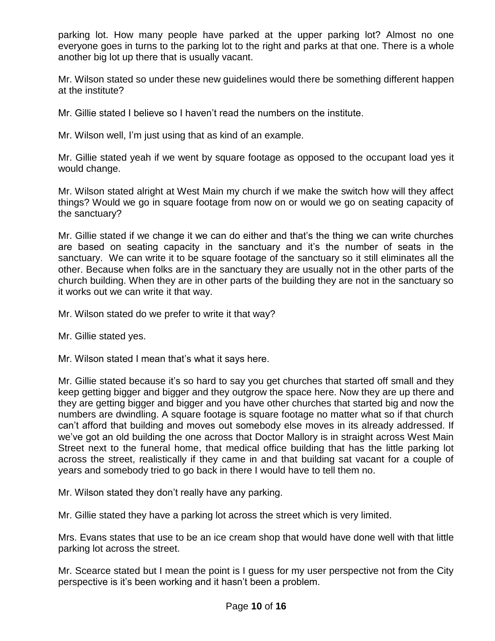parking lot. How many people have parked at the upper parking lot? Almost no one everyone goes in turns to the parking lot to the right and parks at that one. There is a whole another big lot up there that is usually vacant.

Mr. Wilson stated so under these new guidelines would there be something different happen at the institute?

Mr. Gillie stated I believe so I haven't read the numbers on the institute.

Mr. Wilson well, I'm just using that as kind of an example.

Mr. Gillie stated yeah if we went by square footage as opposed to the occupant load yes it would change.

Mr. Wilson stated alright at West Main my church if we make the switch how will they affect things? Would we go in square footage from now on or would we go on seating capacity of the sanctuary?

Mr. Gillie stated if we change it we can do either and that's the thing we can write churches are based on seating capacity in the sanctuary and it's the number of seats in the sanctuary. We can write it to be square footage of the sanctuary so it still eliminates all the other. Because when folks are in the sanctuary they are usually not in the other parts of the church building. When they are in other parts of the building they are not in the sanctuary so it works out we can write it that way.

Mr. Wilson stated do we prefer to write it that way?

Mr. Gillie stated yes.

Mr. Wilson stated I mean that's what it says here.

Mr. Gillie stated because it's so hard to say you get churches that started off small and they keep getting bigger and bigger and they outgrow the space here. Now they are up there and they are getting bigger and bigger and you have other churches that started big and now the numbers are dwindling. A square footage is square footage no matter what so if that church can't afford that building and moves out somebody else moves in its already addressed. If we've got an old building the one across that Doctor Mallory is in straight across West Main Street next to the funeral home, that medical office building that has the little parking lot across the street, realistically if they came in and that building sat vacant for a couple of years and somebody tried to go back in there I would have to tell them no.

Mr. Wilson stated they don't really have any parking.

Mr. Gillie stated they have a parking lot across the street which is very limited.

Mrs. Evans states that use to be an ice cream shop that would have done well with that little parking lot across the street.

Mr. Scearce stated but I mean the point is I guess for my user perspective not from the City perspective is it's been working and it hasn't been a problem.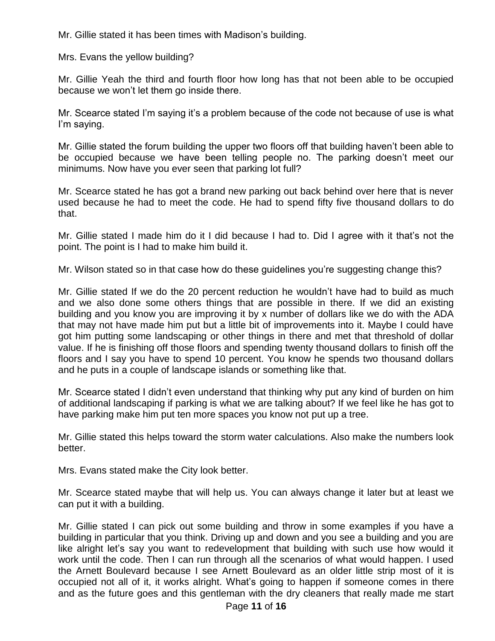Mr. Gillie stated it has been times with Madison's building.

Mrs. Evans the yellow building?

Mr. Gillie Yeah the third and fourth floor how long has that not been able to be occupied because we won't let them go inside there.

Mr. Scearce stated I'm saying it's a problem because of the code not because of use is what I'm saying.

Mr. Gillie stated the forum building the upper two floors off that building haven't been able to be occupied because we have been telling people no. The parking doesn't meet our minimums. Now have you ever seen that parking lot full?

Mr. Scearce stated he has got a brand new parking out back behind over here that is never used because he had to meet the code. He had to spend fifty five thousand dollars to do that.

Mr. Gillie stated I made him do it I did because I had to. Did I agree with it that's not the point. The point is I had to make him build it.

Mr. Wilson stated so in that case how do these guidelines you're suggesting change this?

Mr. Gillie stated If we do the 20 percent reduction he wouldn't have had to build as much and we also done some others things that are possible in there. If we did an existing building and you know you are improving it by x number of dollars like we do with the ADA that may not have made him put but a little bit of improvements into it. Maybe I could have got him putting some landscaping or other things in there and met that threshold of dollar value. If he is finishing off those floors and spending twenty thousand dollars to finish off the floors and I say you have to spend 10 percent. You know he spends two thousand dollars and he puts in a couple of landscape islands or something like that.

Mr. Scearce stated I didn't even understand that thinking why put any kind of burden on him of additional landscaping if parking is what we are talking about? If we feel like he has got to have parking make him put ten more spaces you know not put up a tree.

Mr. Gillie stated this helps toward the storm water calculations. Also make the numbers look better.

Mrs. Evans stated make the City look better.

Mr. Scearce stated maybe that will help us. You can always change it later but at least we can put it with a building.

Mr. Gillie stated I can pick out some building and throw in some examples if you have a building in particular that you think. Driving up and down and you see a building and you are like alright let's say you want to redevelopment that building with such use how would it work until the code. Then I can run through all the scenarios of what would happen. I used the Arnett Boulevard because I see Arnett Boulevard as an older little strip most of it is occupied not all of it, it works alright. What's going to happen if someone comes in there and as the future goes and this gentleman with the dry cleaners that really made me start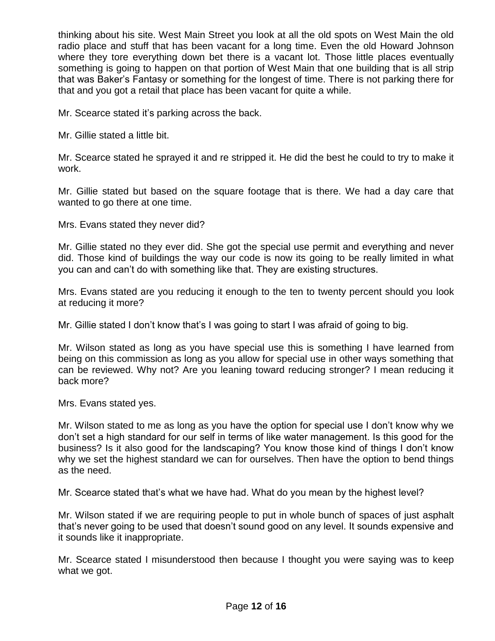thinking about his site. West Main Street you look at all the old spots on West Main the old radio place and stuff that has been vacant for a long time. Even the old Howard Johnson where they tore everything down bet there is a vacant lot. Those little places eventually something is going to happen on that portion of West Main that one building that is all strip that was Baker's Fantasy or something for the longest of time. There is not parking there for that and you got a retail that place has been vacant for quite a while.

Mr. Scearce stated it's parking across the back.

Mr. Gillie stated a little bit.

Mr. Scearce stated he sprayed it and re stripped it. He did the best he could to try to make it work.

Mr. Gillie stated but based on the square footage that is there. We had a day care that wanted to go there at one time.

Mrs. Evans stated they never did?

Mr. Gillie stated no they ever did. She got the special use permit and everything and never did. Those kind of buildings the way our code is now its going to be really limited in what you can and can't do with something like that. They are existing structures.

Mrs. Evans stated are you reducing it enough to the ten to twenty percent should you look at reducing it more?

Mr. Gillie stated I don't know that's I was going to start I was afraid of going to big.

Mr. Wilson stated as long as you have special use this is something I have learned from being on this commission as long as you allow for special use in other ways something that can be reviewed. Why not? Are you leaning toward reducing stronger? I mean reducing it back more?

Mrs. Evans stated yes.

Mr. Wilson stated to me as long as you have the option for special use I don't know why we don't set a high standard for our self in terms of like water management. Is this good for the business? Is it also good for the landscaping? You know those kind of things I don't know why we set the highest standard we can for ourselves. Then have the option to bend things as the need.

Mr. Scearce stated that's what we have had. What do you mean by the highest level?

Mr. Wilson stated if we are requiring people to put in whole bunch of spaces of just asphalt that's never going to be used that doesn't sound good on any level. It sounds expensive and it sounds like it inappropriate.

Mr. Scearce stated I misunderstood then because I thought you were saying was to keep what we got.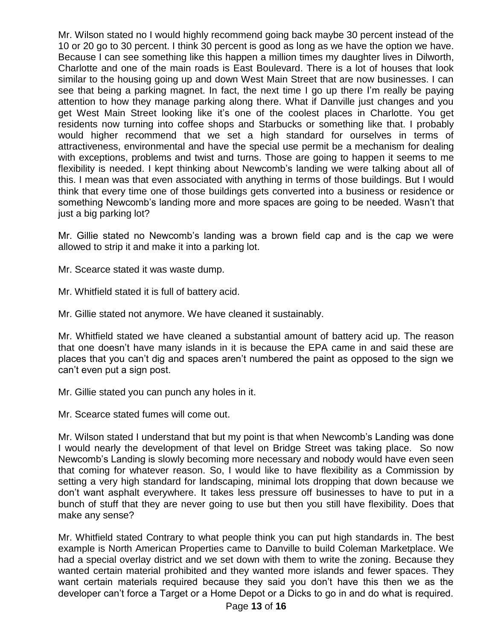Mr. Wilson stated no I would highly recommend going back maybe 30 percent instead of the 10 or 20 go to 30 percent. I think 30 percent is good as long as we have the option we have. Because I can see something like this happen a million times my daughter lives in Dilworth, Charlotte and one of the main roads is East Boulevard. There is a lot of houses that look similar to the housing going up and down West Main Street that are now businesses. I can see that being a parking magnet. In fact, the next time I go up there I'm really be paying attention to how they manage parking along there. What if Danville just changes and you get West Main Street looking like it's one of the coolest places in Charlotte. You get residents now turning into coffee shops and Starbucks or something like that. I probably would higher recommend that we set a high standard for ourselves in terms of attractiveness, environmental and have the special use permit be a mechanism for dealing with exceptions, problems and twist and turns. Those are going to happen it seems to me flexibility is needed. I kept thinking about Newcomb's landing we were talking about all of this. I mean was that even associated with anything in terms of those buildings. But I would think that every time one of those buildings gets converted into a business or residence or something Newcomb's landing more and more spaces are going to be needed. Wasn't that just a big parking lot?

Mr. Gillie stated no Newcomb's landing was a brown field cap and is the cap we were allowed to strip it and make it into a parking lot.

Mr. Scearce stated it was waste dump.

Mr. Whitfield stated it is full of battery acid.

Mr. Gillie stated not anymore. We have cleaned it sustainably.

Mr. Whitfield stated we have cleaned a substantial amount of battery acid up. The reason that one doesn't have many islands in it is because the EPA came in and said these are places that you can't dig and spaces aren't numbered the paint as opposed to the sign we can't even put a sign post.

Mr. Gillie stated you can punch any holes in it.

Mr. Scearce stated fumes will come out.

Mr. Wilson stated I understand that but my point is that when Newcomb's Landing was done I would nearly the development of that level on Bridge Street was taking place. So now Newcomb's Landing is slowly becoming more necessary and nobody would have even seen that coming for whatever reason. So, I would like to have flexibility as a Commission by setting a very high standard for landscaping, minimal lots dropping that down because we don't want asphalt everywhere. It takes less pressure off businesses to have to put in a bunch of stuff that they are never going to use but then you still have flexibility. Does that make any sense?

Mr. Whitfield stated Contrary to what people think you can put high standards in. The best example is North American Properties came to Danville to build Coleman Marketplace. We had a special overlay district and we set down with them to write the zoning. Because they wanted certain material prohibited and they wanted more islands and fewer spaces. They want certain materials required because they said you don't have this then we as the developer can't force a Target or a Home Depot or a Dicks to go in and do what is required.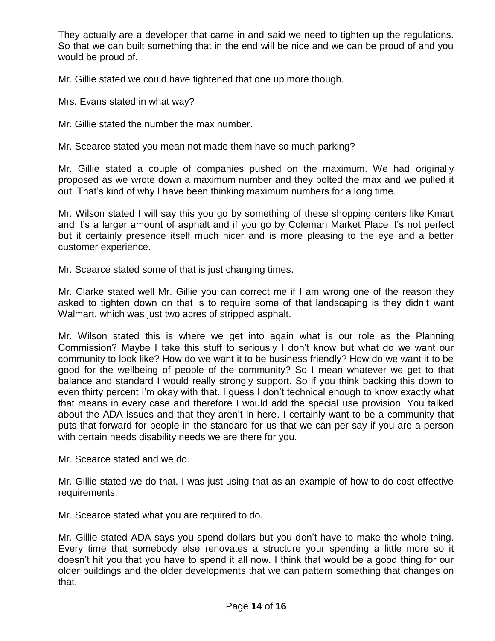They actually are a developer that came in and said we need to tighten up the regulations. So that we can built something that in the end will be nice and we can be proud of and you would be proud of.

Mr. Gillie stated we could have tightened that one up more though.

Mrs. Evans stated in what way?

Mr. Gillie stated the number the max number.

Mr. Scearce stated you mean not made them have so much parking?

Mr. Gillie stated a couple of companies pushed on the maximum. We had originally proposed as we wrote down a maximum number and they bolted the max and we pulled it out. That's kind of why I have been thinking maximum numbers for a long time.

Mr. Wilson stated I will say this you go by something of these shopping centers like Kmart and it's a larger amount of asphalt and if you go by Coleman Market Place it's not perfect but it certainly presence itself much nicer and is more pleasing to the eye and a better customer experience.

Mr. Scearce stated some of that is just changing times.

Mr. Clarke stated well Mr. Gillie you can correct me if I am wrong one of the reason they asked to tighten down on that is to require some of that landscaping is they didn't want Walmart, which was just two acres of stripped asphalt.

Mr. Wilson stated this is where we get into again what is our role as the Planning Commission? Maybe I take this stuff to seriously I don't know but what do we want our community to look like? How do we want it to be business friendly? How do we want it to be good for the wellbeing of people of the community? So I mean whatever we get to that balance and standard I would really strongly support. So if you think backing this down to even thirty percent I'm okay with that. I guess I don't technical enough to know exactly what that means in every case and therefore I would add the special use provision. You talked about the ADA issues and that they aren't in here. I certainly want to be a community that puts that forward for people in the standard for us that we can per say if you are a person with certain needs disability needs we are there for you.

Mr. Scearce stated and we do.

Mr. Gillie stated we do that. I was just using that as an example of how to do cost effective requirements.

Mr. Scearce stated what you are required to do.

Mr. Gillie stated ADA says you spend dollars but you don't have to make the whole thing. Every time that somebody else renovates a structure your spending a little more so it doesn't hit you that you have to spend it all now. I think that would be a good thing for our older buildings and the older developments that we can pattern something that changes on that.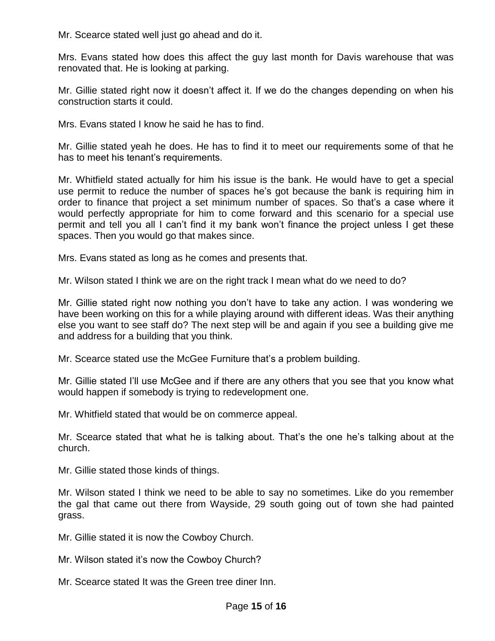Mr. Scearce stated well just go ahead and do it.

Mrs. Evans stated how does this affect the guy last month for Davis warehouse that was renovated that. He is looking at parking.

Mr. Gillie stated right now it doesn't affect it. If we do the changes depending on when his construction starts it could.

Mrs. Evans stated I know he said he has to find.

Mr. Gillie stated yeah he does. He has to find it to meet our requirements some of that he has to meet his tenant's requirements.

Mr. Whitfield stated actually for him his issue is the bank. He would have to get a special use permit to reduce the number of spaces he's got because the bank is requiring him in order to finance that project a set minimum number of spaces. So that's a case where it would perfectly appropriate for him to come forward and this scenario for a special use permit and tell you all I can't find it my bank won't finance the project unless I get these spaces. Then you would go that makes since.

Mrs. Evans stated as long as he comes and presents that.

Mr. Wilson stated I think we are on the right track I mean what do we need to do?

Mr. Gillie stated right now nothing you don't have to take any action. I was wondering we have been working on this for a while playing around with different ideas. Was their anything else you want to see staff do? The next step will be and again if you see a building give me and address for a building that you think.

Mr. Scearce stated use the McGee Furniture that's a problem building.

Mr. Gillie stated I'll use McGee and if there are any others that you see that you know what would happen if somebody is trying to redevelopment one.

Mr. Whitfield stated that would be on commerce appeal.

Mr. Scearce stated that what he is talking about. That's the one he's talking about at the church.

Mr. Gillie stated those kinds of things.

Mr. Wilson stated I think we need to be able to say no sometimes. Like do you remember the gal that came out there from Wayside, 29 south going out of town she had painted grass.

Mr. Gillie stated it is now the Cowboy Church.

Mr. Wilson stated it's now the Cowboy Church?

Mr. Scearce stated It was the Green tree diner Inn.